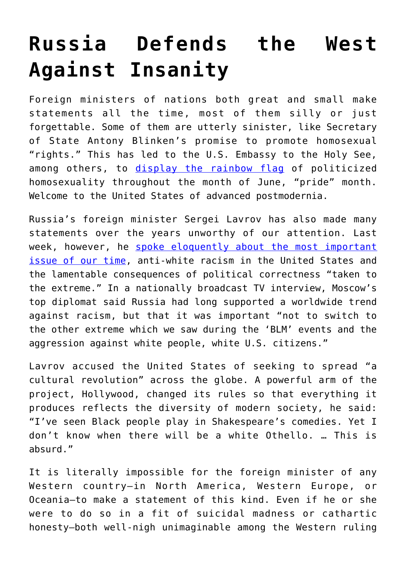## **[Russia Defends the West](https://intellectualtakeout.org/2021/06/russia-defends-the-west-against-insanity/) [Against Insanity](https://intellectualtakeout.org/2021/06/russia-defends-the-west-against-insanity/)**

Foreign ministers of nations both great and small make statements all the time, most of them silly or just forgettable. Some of them are utterly sinister, like Secretary of State Antony Blinken's promise to promote homosexual "rights." This has led to the U.S. Embassy to the Holy See, among others, to [display the rainbow flag](https://www.catholicnewsagency.com/news/247852/us-embassy-to-vatican-flies-lgbt-pride-flag-for-month-of-june) of politicized homosexuality throughout the month of June, "pride" month. Welcome to the United States of advanced postmodernia.

Russia's foreign minister Sergei Lavrov has also made many statements over the years unworthy of our attention. Last week, however, he [spoke eloquently about the most important](https://www.themoscowtimes.com/2021/04/01/russia-warns-of-anti-white-aggression-in-us-a73446) [issue of our time,](https://www.themoscowtimes.com/2021/04/01/russia-warns-of-anti-white-aggression-in-us-a73446) anti-white racism in the United States and the lamentable consequences of political correctness "taken to the extreme." In a nationally broadcast TV interview, Moscow's top diplomat said Russia had long supported a worldwide trend against racism, but that it was important "not to switch to the other extreme which we saw during the 'BLM' events and the aggression against white people, white U.S. citizens."

Lavrov accused the United States of seeking to spread "a cultural revolution" across the globe. A powerful arm of the project, Hollywood, changed its rules so that everything it produces reflects the diversity of modern society, he said: "I've seen Black people play in Shakespeare's comedies. Yet I don't know when there will be a white Othello. … This is absurd."

It is literally impossible for the foreign minister of any Western country—in North America, Western Europe, or Oceania—to make a statement of this kind. Even if he or she were to do so in a fit of suicidal madness or cathartic honesty—both well-nigh unimaginable among the Western ruling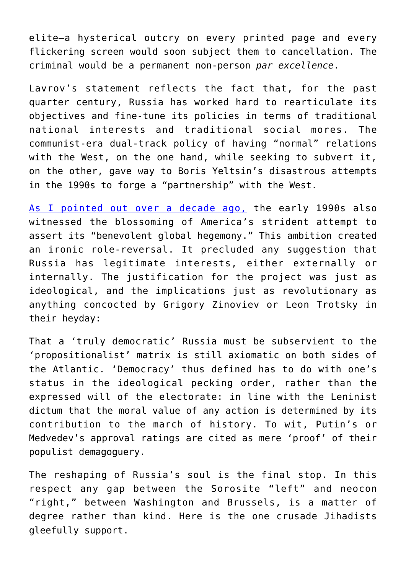elite—a hysterical outcry on every printed page and every flickering screen would soon subject them to cancellation. The criminal would be a permanent non-person *par excellence*.

Lavrov's statement reflects the fact that, for the past quarter century, Russia has worked hard to rearticulate its objectives and fine-tune its policies in terms of traditional national interests and traditional social mores. The communist-era dual-track policy of having "normal" relations with the West, on the one hand, while seeking to subvert it, on the other, gave way to Boris Yeltsin's disastrous attempts in the 1990s to forge a "partnership" with the West.

[As I pointed out over a decade ago,](https://www.expat.ru/analitics.php?item=655) the early 1990s also witnessed the blossoming of America's strident attempt to assert its "benevolent global hegemony." This ambition created an ironic role-reversal. It precluded any suggestion that Russia has legitimate interests, either externally or internally. The justification for the project was just as ideological, and the implications just as revolutionary as anything concocted by Grigory Zinoviev or Leon Trotsky in their heyday:

That a 'truly democratic' Russia must be subservient to the 'propositionalist' matrix is still axiomatic on both sides of the Atlantic. 'Democracy' thus defined has to do with one's status in the ideological pecking order, rather than the expressed will of the electorate: in line with the Leninist dictum that the moral value of any action is determined by its contribution to the march of history. To wit, Putin's or Medvedev's approval ratings are cited as mere 'proof' of their populist demagoguery.

The reshaping of Russia's soul is the final stop. In this respect any gap between the Sorosite "left" and neocon "right," between Washington and Brussels, is a matter of degree rather than kind. Here is the one crusade Jihadists gleefully support.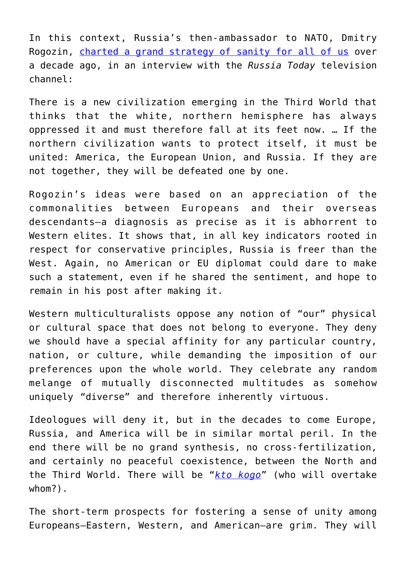In this context, Russia's then-ambassador to NATO, Dmitry Rogozin, [charted a grand strategy of sanity for all of us](https://www.chroniclesmagazine.org/the-north-worth-saving) over a decade ago, in an interview with the *Russia Today* television channel:

There is a new civilization emerging in the Third World that thinks that the white, northern hemisphere has always oppressed it and must therefore fall at its feet now. … If the northern civilization wants to protect itself, it must be united: America, the European Union, and Russia. If they are not together, they will be defeated one by one.

Rogozin's ideas were based on an appreciation of the commonalities between Europeans and their overseas descendants—a diagnosis as precise as it is abhorrent to Western elites. It shows that, in all key indicators rooted in respect for conservative principles, Russia is freer than the West. Again, no American or EU diplomat could dare to make such a statement, even if he shared the sentiment, and hope to remain in his post after making it.

Western multiculturalists oppose any notion of "our" physical or cultural space that does not belong to everyone. They deny we should have a special affinity for any particular country, nation, or culture, while demanding the imposition of our preferences upon the whole world. They celebrate any random melange of mutually disconnected multitudes as somehow uniquely "diverse" and therefore inherently virtuous.

Ideologues will deny it, but in the decades to come Europe, Russia, and America will be in similar mortal peril. In the end there will be no grand synthesis, no cross-fertilization, and certainly no peaceful coexistence, between the North and the Third World. There will be "*[kto kogo](https://en.wikipedia.org/wiki/Who,_whom%3F)*" (who will overtake whom?).

The short-term prospects for fostering a sense of unity among Europeans—Eastern, Western, and American—are grim. They will